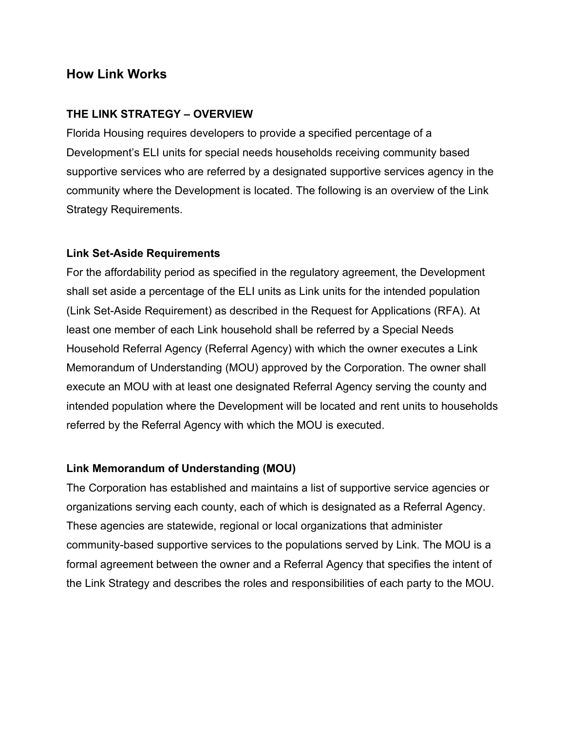# **How Link Works**

### **THE LINK STRATEGY – OVERVIEW**

Florida Housing requires developers to provide a specified percentage of a Development's ELI units for special needs households receiving community based supportive services who are referred by a designated supportive services agency in the community where the Development is located. The following is an overview of the Link Strategy Requirements.

#### **Link Set-Aside Requirements**

For the affordability period as specified in the regulatory agreement, the Development shall set aside a percentage of the ELI units as Link units for the intended population (Link Set-Aside Requirement) as described in the Request for Applications (RFA). At least one member of each Link household shall be referred by a Special Needs Household Referral Agency (Referral Agency) with which the owner executes a Link Memorandum of Understanding (MOU) approved by the Corporation. The owner shall execute an MOU with at least one designated Referral Agency serving the county and intended population where the Development will be located and rent units to households referred by the Referral Agency with which the MOU is executed.

#### **Link Memorandum of Understanding (MOU)**

The Corporation has established and maintains a list of supportive service agencies or organizations serving each county, each of which is designated as a Referral Agency. These agencies are statewide, regional or local organizations that administer community-based supportive services to the populations served by Link. The MOU is a formal agreement between the owner and a Referral Agency that specifies the intent of the Link Strategy and describes the roles and responsibilities of each party to the MOU.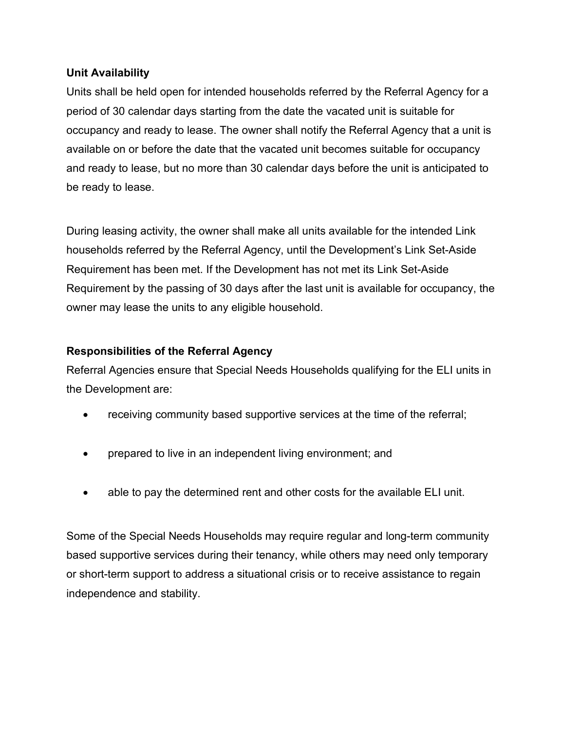### **Unit Availability**

Units shall be held open for intended households referred by the Referral Agency for a period of 30 calendar days starting from the date the vacated unit is suitable for occupancy and ready to lease. The owner shall notify the Referral Agency that a unit is available on or before the date that the vacated unit becomes suitable for occupancy and ready to lease, but no more than 30 calendar days before the unit is anticipated to be ready to lease.

During leasing activity, the owner shall make all units available for the intended Link households referred by the Referral Agency, until the Development's Link Set-Aside Requirement has been met. If the Development has not met its Link Set-Aside Requirement by the passing of 30 days after the last unit is available for occupancy, the owner may lease the units to any eligible household.

### **Responsibilities of the Referral Agency**

Referral Agencies ensure that Special Needs Households qualifying for the ELI units in the Development are:

- receiving community based supportive services at the time of the referral;
- prepared to live in an independent living environment; and
- able to pay the determined rent and other costs for the available ELI unit.

Some of the Special Needs Households may require regular and long-term community based supportive services during their tenancy, while others may need only temporary or short-term support to address a situational crisis or to receive assistance to regain independence and stability.